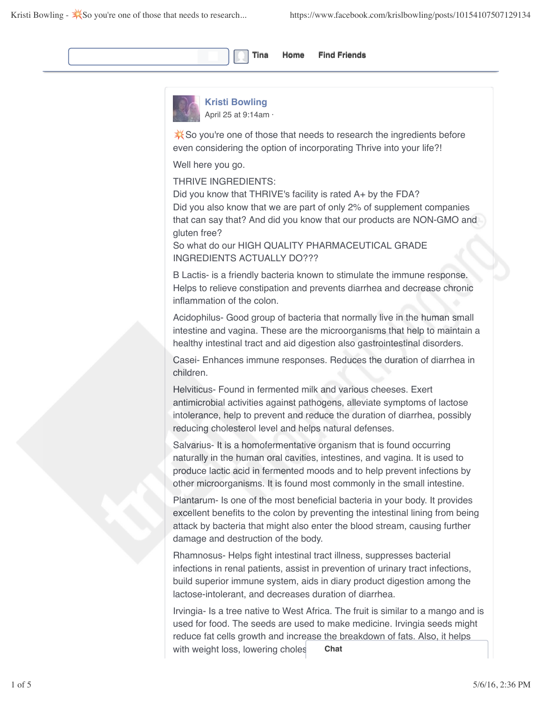



**Kristi Bowling** April 25 at 9:14am ·

So you're one of those that needs to research the ingredients before even considering the option of incorporating Thrive into your life?!

Well here you go.

THRIVE INGREDIENTS:

Did you know that THRIVE's facility is rated A+ by the FDA? Did you also know that we are part of only 2% of supplement companies that can say that? And did you know that our products are NON-GMO and gluten free?

So what do our HIGH QUALITY PHARMACEUTICAL GRADE INGREDIENTS ACTUALLY DO???

B Lactis- is a friendly bacteria known to stimulate the immune response. Helps to relieve constipation and prevents diarrhea and decrease chronic inflammation of the colon.

Acidophilus- Good group of bacteria that normally live in the human small intestine and vagina. These are the microorganisms that help to maintain a healthy intestinal tract and aid digestion also gastrointestinal disorders.

Casei- Enhances immune responses. Reduces the duration of diarrhea in children.

Helviticus- Found in fermented milk and various cheeses. Exert antimicrobial activities against pathogens, alleviate symptoms of lactose intolerance, help to prevent and reduce the duration of diarrhea, possibly reducing cholesterol level and helps natural defenses.

Salvarius- It is a homofermentative organism that is found occurring naturally in the human oral cavities, intestines, and vagina. It is used to produce lactic acid in fermented moods and to help prevent infections by other microorganisms. It is found most commonly in the small intestine.

Plantarum- Is one of the most beneficial bacteria in your body. It provides excellent benefits to the colon by preventing the intestinal lining from being attack by bacteria that might also enter the blood stream, causing further damage and destruction of the body.

Rhamnosus- Helps fight intestinal tract illness, suppresses bacterial infections in renal patients, assist in prevention of urinary tract infections, build superior immune system, aids in diary product digestion among the lactose-intolerant, and decreases duration of diarrhea.

Irvingia- Is a tree native to West Africa. The fruit is similar to a mango and is used for food. The seeds are used to make medicine. Irvingia seeds might reduce fat cells growth and increase the breakdown of fats. Also, it helps with weight loss, lowering choles **Chat**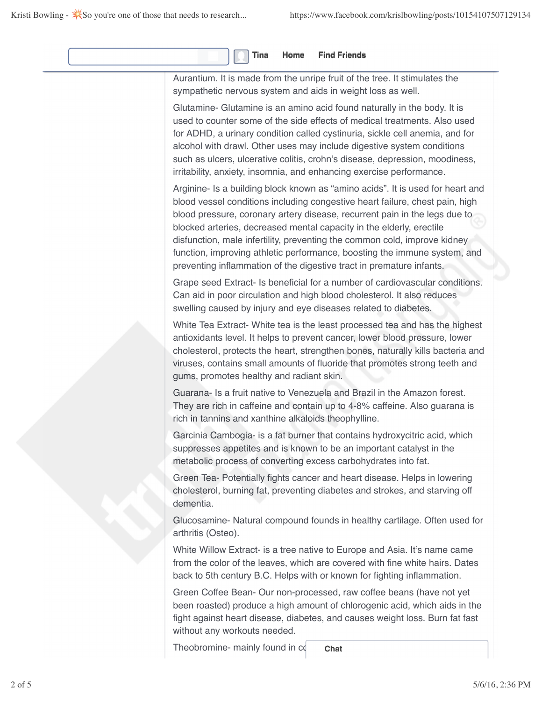| Aurantium. It is made from the unripe fruit of the tree. It stimulates the<br>sympathetic nervous system and aids in weight loss as well.                                                                                                                                                                                                                                                                                                                                                                                                              |
|--------------------------------------------------------------------------------------------------------------------------------------------------------------------------------------------------------------------------------------------------------------------------------------------------------------------------------------------------------------------------------------------------------------------------------------------------------------------------------------------------------------------------------------------------------|
| Glutamine- Glutamine is an amino acid found naturally in the body. It is<br>used to counter some of the side effects of medical treatments. Also used<br>for ADHD, a urinary condition called cystinuria, sickle cell anemia, and for<br>alcohol with drawl. Other uses may include digestive system conditions<br>such as ulcers, ulcerative colitis, crohn's disease, depression, moodiness,<br>irritability, anxiety, insomnia, and enhancing exercise performance.                                                                                 |
| Arginine- Is a building block known as "amino acids". It is used for heart and<br>blood vessel conditions including congestive heart failure, chest pain, high<br>blood pressure, coronary artery disease, recurrent pain in the legs due to<br>blocked arteries, decreased mental capacity in the elderly, erectile<br>disfunction, male infertility, preventing the common cold, improve kidney<br>function, improving athletic performance, boosting the immune system, and<br>preventing inflammation of the digestive tract in premature infants. |
| Grape seed Extract- Is beneficial for a number of cardiovascular conditions.<br>Can aid in poor circulation and high blood cholesterol. It also reduces<br>swelling caused by injury and eye diseases related to diabetes.                                                                                                                                                                                                                                                                                                                             |
| White Tea Extract- White tea is the least processed tea and has the highest<br>antioxidants level. It helps to prevent cancer, lower blood pressure, lower<br>cholesterol, protects the heart, strengthen bones, naturally kills bacteria and<br>viruses, contains small amounts of fluoride that promotes strong teeth and<br>gums, promotes healthy and radiant skin.                                                                                                                                                                                |
| Guarana- Is a fruit native to Venezuela and Brazil in the Amazon forest.<br>They are rich in caffeine and contain up to 4-8% caffeine. Also guarana is<br>rich in tannins and xanthine alkaloids theophylline.                                                                                                                                                                                                                                                                                                                                         |
| Garcinia Cambogia- is a fat burner that contains hydroxycitric acid, which<br>suppresses appetites and is known to be an important catalyst in the<br>metabolic process of converting excess carbohydrates into fat.                                                                                                                                                                                                                                                                                                                                   |
| Green Tea- Potentially fights cancer and heart disease. Helps in lowering<br>cholesterol, burning fat, preventing diabetes and strokes, and starving off<br>dementia.                                                                                                                                                                                                                                                                                                                                                                                  |
| Glucosamine- Natural compound founds in healthy cartilage. Often used for<br>arthritis (Osteo).                                                                                                                                                                                                                                                                                                                                                                                                                                                        |
| White Willow Extract- is a tree native to Europe and Asia. It's name came<br>from the color of the leaves, which are covered with fine white hairs. Dates<br>back to 5th century B.C. Helps with or known for fighting inflammation.                                                                                                                                                                                                                                                                                                                   |
| Green Coffee Bean- Our non-processed, raw coffee beans (have not yet<br>been roasted) produce a high amount of chlorogenic acid, which aids in the<br>fight against heart disease, diabetes, and causes weight loss. Burn fat fast<br>without any workouts needed.                                                                                                                                                                                                                                                                                     |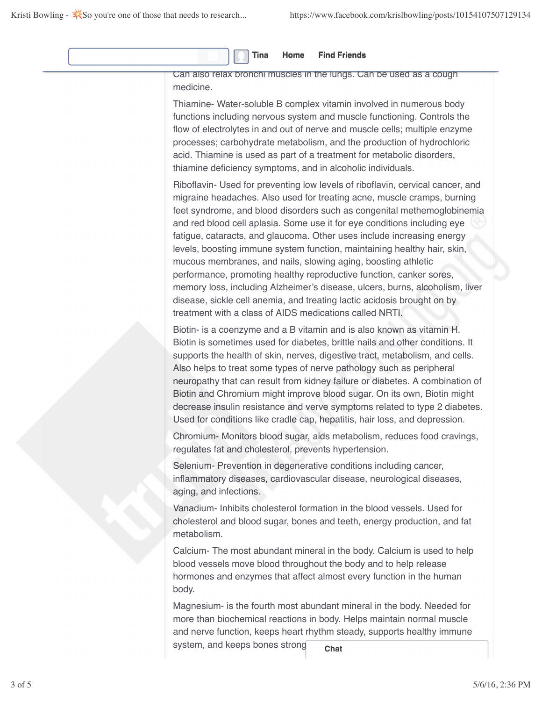|  |  |  |  |  | Tina Home Find Friends |
|--|--|--|--|--|------------------------|
|--|--|--|--|--|------------------------|

Can also relax bronchi muscles in the lungs. Can be used as a cough medicine.

Thiamine- Water-soluble B complex vitamin involved in numerous body functions including nervous system and muscle functioning. Controls the flow of electrolytes in and out of nerve and muscle cells; multiple enzyme processes; carbohydrate metabolism, and the production of hydrochloric acid. Thiamine is used as part of a treatment for metabolic disorders, thiamine deficiency symptoms, and in alcoholic individuals.

Riboflavin- Used for preventing low levels of riboflavin, cervical cancer, and migraine headaches. Also used for treating acne, muscle cramps, burning feet syndrome, and blood disorders such as congenital methemoglobinemia and red blood cell aplasia. Some use it for eye conditions including eye fatigue, cataracts, and glaucoma. Other uses include increasing energy levels, boosting immune system function, maintaining healthy hair, skin, mucous membranes, and nails, slowing aging, boosting athletic performance, promoting healthy reproductive function, canker sores, memory loss, including Alzheimer's disease, ulcers, burns, alcoholism, liver disease, sickle cell anemia, and treating lactic acidosis brought on by treatment with a class of AIDS medications called NRTI.

Biotin- is a coenzyme and a B vitamin and is also known as vitamin H. Biotin is sometimes used for diabetes, brittle nails and other conditions. It supports the health of skin, nerves, digestive tract, metabolism, and cells. Also helps to treat some types of nerve pathology such as peripheral neuropathy that can result from kidney failure or diabetes. A combination of Biotin and Chromium might improve blood sugar. On its own, Biotin might decrease insulin resistance and verve symptoms related to type 2 diabetes. Used for conditions like cradle cap, hepatitis, hair loss, and depression.

Chromium- Monitors blood sugar, aids metabolism, reduces food cravings, regulates fat and cholesterol, prevents hypertension.

Selenium- Prevention in degenerative conditions including cancer, inflammatory diseases, cardiovascular disease, neurological diseases, aging, and infections.

Vanadium- Inhibits cholesterol formation in the blood vessels. Used for cholesterol and blood sugar, bones and teeth, energy production, and fat metabolism.

Calcium- The most abundant mineral in the body. Calcium is used to help blood vessels move blood throughout the body and to help release hormones and enzymes that affect almost every function in the human body.

Magnesium- is the fourth most abundant mineral in the body. Needed for more than biochemical reactions in body. Helps maintain normal muscle and nerve function, keeps heart rhythm steady, supports healthy immune system, and keeps bones strong. **Chat**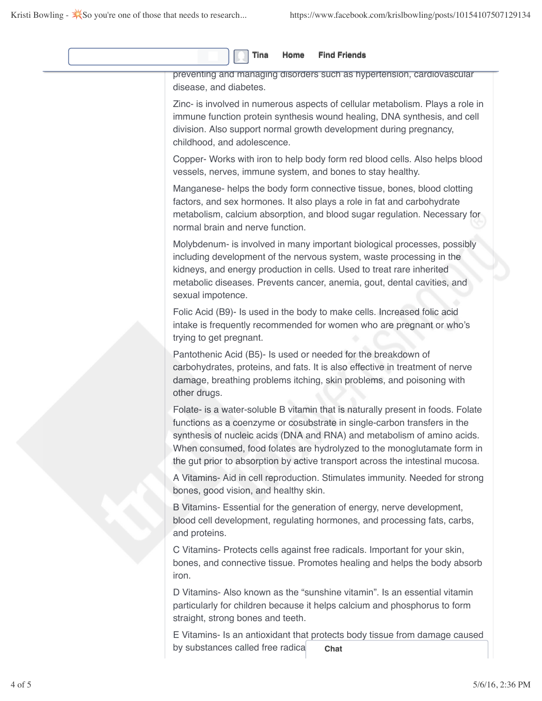| Home<br><b>Find Friends</b><br>Tina                                                                                                                                                                                                                                                                                                                                                                |
|----------------------------------------------------------------------------------------------------------------------------------------------------------------------------------------------------------------------------------------------------------------------------------------------------------------------------------------------------------------------------------------------------|
| preventing and managing disorders such as hypertension, cardiovascular<br>disease, and diabetes.                                                                                                                                                                                                                                                                                                   |
| Zinc- is involved in numerous aspects of cellular metabolism. Plays a role in<br>immune function protein synthesis wound healing, DNA synthesis, and cell<br>division. Also support normal growth development during pregnancy,<br>childhood, and adolescence.                                                                                                                                     |
| Copper- Works with iron to help body form red blood cells. Also helps blood<br>vessels, nerves, immune system, and bones to stay healthy.                                                                                                                                                                                                                                                          |
| Manganese- helps the body form connective tissue, bones, blood clotting<br>factors, and sex hormones. It also plays a role in fat and carbohydrate<br>metabolism, calcium absorption, and blood sugar regulation. Necessary for<br>normal brain and nerve function.                                                                                                                                |
| Molybdenum- is involved in many important biological processes, possibly<br>including development of the nervous system, waste processing in the<br>kidneys, and energy production in cells. Used to treat rare inherited<br>metabolic diseases. Prevents cancer, anemia, gout, dental cavities, and<br>sexual impotence.                                                                          |
| Folic Acid (B9)- Is used in the body to make cells. Increased folic acid<br>intake is frequently recommended for women who are pregnant or who's<br>trying to get pregnant.                                                                                                                                                                                                                        |
| Pantothenic Acid (B5)- Is used or needed for the breakdown of<br>carbohydrates, proteins, and fats. It is also effective in treatment of nerve<br>damage, breathing problems itching, skin problems, and poisoning with<br>other drugs.                                                                                                                                                            |
| Folate- is a water-soluble B vitamin that is naturally present in foods. Folate<br>functions as a coenzyme or cosubstrate in single-carbon transfers in the<br>synthesis of nucleic acids (DNA and RNA) and metabolism of amino acids.<br>When consumed, food folates are hydrolyzed to the monoglutamate form in<br>the gut prior to absorption by active transport across the intestinal mucosa. |
| A Vitamins- Aid in cell reproduction. Stimulates immunity. Needed for strong<br>bones, good vision, and healthy skin.                                                                                                                                                                                                                                                                              |
| B Vitamins- Essential for the generation of energy, nerve development,<br>blood cell development, regulating hormones, and processing fats, carbs,<br>and proteins.                                                                                                                                                                                                                                |
| C Vitamins- Protects cells against free radicals. Important for your skin,<br>bones, and connective tissue. Promotes healing and helps the body absorb<br>iron.                                                                                                                                                                                                                                    |
| D Vitamins- Also known as the "sunshine vitamin". Is an essential vitamin<br>particularly for children because it helps calcium and phosphorus to form<br>straight, strong bones and teeth.                                                                                                                                                                                                        |
| E Vitamins- Is an antioxidant that protects body tissue from damage caused<br>by substances called free radica<br>Chat                                                                                                                                                                                                                                                                             |